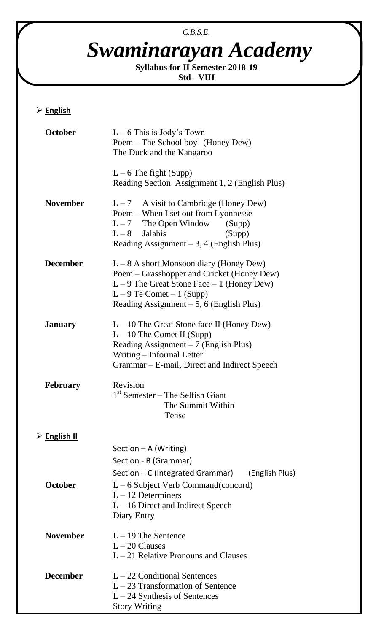# *C.B.S.E. Swaminarayan Academy*

**Syllabus for II Semester 2018-19 Std - VIII**

### **English**

| <b>October</b>              | $L - 6$ This is Jody's Town<br>Poem – The School boy (Honey Dew)<br>The Duck and the Kangaroo                                                                                                                         |
|-----------------------------|-----------------------------------------------------------------------------------------------------------------------------------------------------------------------------------------------------------------------|
|                             | $L - 6$ The fight (Supp)<br>Reading Section Assignment 1, 2 (English Plus)                                                                                                                                            |
| <b>November</b>             | A visit to Cambridge (Honey Dew)<br>$L - 7$<br>Poem – When I set out from Lyonnesse<br>$L-7$ The Open Window (Supp)<br>$L-8$ Jalabis<br>(Supp)<br>Reading Assignment $-3$ , 4 (English Plus)                          |
| <b>December</b>             | $L-8$ A short Monsoon diary (Honey Dew)<br>Poem – Grasshopper and Cricket (Honey Dew)<br>$L - 9$ The Great Stone Face $-1$ (Honey Dew)<br>$L - 9$ Te Comet $- 1$ (Supp)<br>Reading Assignment $-5$ , 6 (English Plus) |
| <b>January</b>              | $L - 10$ The Great Stone face II (Honey Dew)<br>$L - 10$ The Comet II (Supp)<br>Reading Assignment $-7$ (English Plus)<br>Writing – Informal Letter<br>Grammar – E-mail, Direct and Indirect Speech                   |
| <b>February</b>             | Revision<br>$1st$ Semester – The Selfish Giant<br>The Summit Within<br>Tense                                                                                                                                          |
| $\triangleright$ English II |                                                                                                                                                                                                                       |
|                             | Section $-A$ (Writing)<br>Section - B (Grammar)<br>Section – C (Integrated Grammar) (English Plus)                                                                                                                    |
| October                     | $L - 6$ Subject Verb Command(concord)<br>$L - 12$ Determiners<br>$L - 16$ Direct and Indirect Speech<br>Diary Entry                                                                                                   |
| <b>November</b>             | $L - 19$ The Sentence<br>$L - 20$ Clauses<br>$L - 21$ Relative Pronouns and Clauses                                                                                                                                   |
| <b>December</b>             | $L - 22$ Conditional Sentences<br>$L-23$ Transformation of Sentence<br>$L - 24$ Synthesis of Sentences<br><b>Story Writing</b>                                                                                        |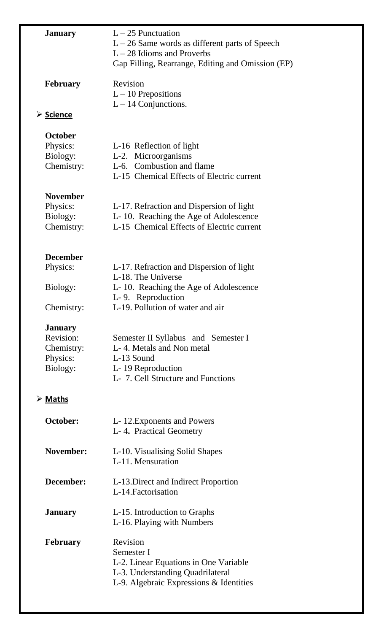| <b>January</b>  | $L - 25$ Punctuation                                    |
|-----------------|---------------------------------------------------------|
|                 | $L - 26$ Same words as different parts of Speech        |
|                 | $L - 28$ Idioms and Proverbs                            |
|                 | Gap Filling, Rearrange, Editing and Omission (EP)       |
| <b>February</b> | Revision                                                |
|                 | $L - 10$ Prepositions                                   |
|                 | $L - 14$ Conjunctions.                                  |
|                 |                                                         |
| > Science       |                                                         |
| <b>October</b>  |                                                         |
| Physics:        | L-16 Reflection of light                                |
| Biology:        | L-2. Microorganisms                                     |
| Chemistry:      | L-6. Combustion and flame                               |
|                 | L-15 Chemical Effects of Electric current               |
| <b>November</b> |                                                         |
|                 |                                                         |
| Physics:        | L-17. Refraction and Dispersion of light                |
| Biology:        | L-10. Reaching the Age of Adolescence                   |
| Chemistry:      | L-15 Chemical Effects of Electric current               |
|                 |                                                         |
| <b>December</b> |                                                         |
| Physics:        | L-17. Refraction and Dispersion of light                |
|                 | L-18. The Universe                                      |
| Biology:        | L-10. Reaching the Age of Adolescence                   |
|                 | L-9. Reproduction                                       |
| Chemistry:      | L-19. Pollution of water and air                        |
| <b>January</b>  |                                                         |
| Revision:       | Semester II Syllabus and Semester I                     |
| Chemistry:      | L-4. Metals and Non metal                               |
| Physics:        | L-13 Sound                                              |
|                 |                                                         |
| Biology:        | L-19 Reproduction<br>L- 7. Cell Structure and Functions |
|                 |                                                         |
| <b>≻</b> Maths  |                                                         |
| October:        | L-12. Exponents and Powers                              |
|                 | L-4. Practical Geometry                                 |
|                 |                                                         |
| November:       | L-10. Visualising Solid Shapes                          |
|                 | L-11. Mensuration                                       |
|                 |                                                         |
| December:       | L-13. Direct and Indirect Proportion                    |
|                 | L-14. Factorisation                                     |
| <b>January</b>  | L-15. Introduction to Graphs                            |
|                 | L-16. Playing with Numbers                              |
| <b>February</b> | Revision                                                |
|                 | Semester I                                              |
|                 |                                                         |
|                 | L-2. Linear Equations in One Variable                   |
|                 | L-3. Understanding Quadrilateral                        |
|                 | L-9. Algebraic Expressions & Identities                 |
|                 |                                                         |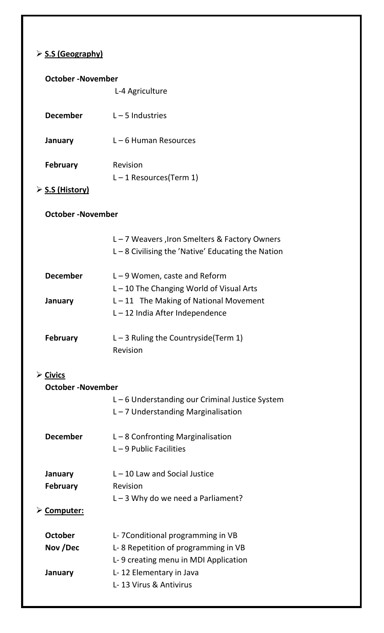# **S.S (Geography)**

| <b>October-November</b>                            |                                                                                                     |  |
|----------------------------------------------------|-----------------------------------------------------------------------------------------------------|--|
|                                                    | L-4 Agriculture                                                                                     |  |
| <b>December</b>                                    | $L - 5$ Industries                                                                                  |  |
| January                                            | $L - 6$ Human Resources                                                                             |  |
| <b>February</b>                                    | Revision<br>$L - 1$ Resources(Term 1)                                                               |  |
| $\triangleright$ S.S (History)                     |                                                                                                     |  |
| <b>October-November</b>                            |                                                                                                     |  |
|                                                    | L-7 Weavers, Iron Smelters & Factory Owners<br>$L - 8$ Civilising the 'Native' Educating the Nation |  |
| <b>December</b>                                    | $L - 9$ Women, caste and Reform<br>$L - 10$ The Changing World of Visual Arts                       |  |
| January                                            | $L - 11$ The Making of National Movement<br>$L - 12$ India After Independence                       |  |
| <b>February</b>                                    | $L - 3$ Ruling the Countryside (Term 1)<br>Revision                                                 |  |
| $\triangleright$ Civics<br><b>October-November</b> |                                                                                                     |  |
|                                                    | $L - 6$ Understanding our Criminal Justice System<br>$L - 7$ Understanding Marginalisation          |  |
| <b>December</b>                                    | $L - 8$ Confronting Marginalisation<br>$L - 9$ Public Facilities                                    |  |
| January                                            | $L - 10$ Law and Social Justice                                                                     |  |
| <b>February</b>                                    | Revision<br>$L - 3$ Why do we need a Parliament?                                                    |  |
| $\triangleright$ Computer:                         |                                                                                                     |  |
| <b>October</b>                                     | L-7Conditional programming in VB                                                                    |  |
| Nov /Dec                                           | L-8 Repetition of programming in VB                                                                 |  |
| January                                            | L-9 creating menu in MDI Application<br>L-12 Elementary in Java<br>L-13 Virus & Antivirus           |  |
|                                                    |                                                                                                     |  |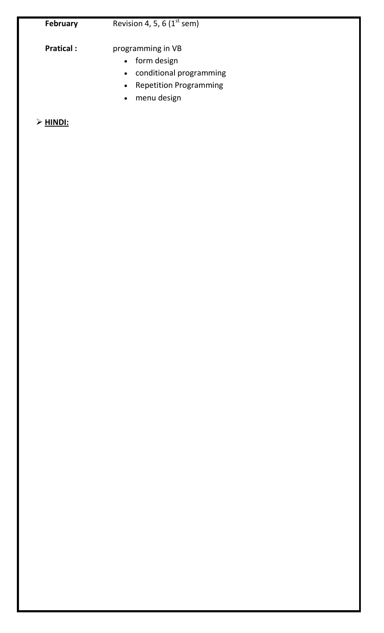# **February** Revision 4, 5, 6 (1<sup>st</sup> sem)

**Pratical :** programming in VB

- form design
- conditional programming
- Repetition Programming
- menu design

### **HINDI:**